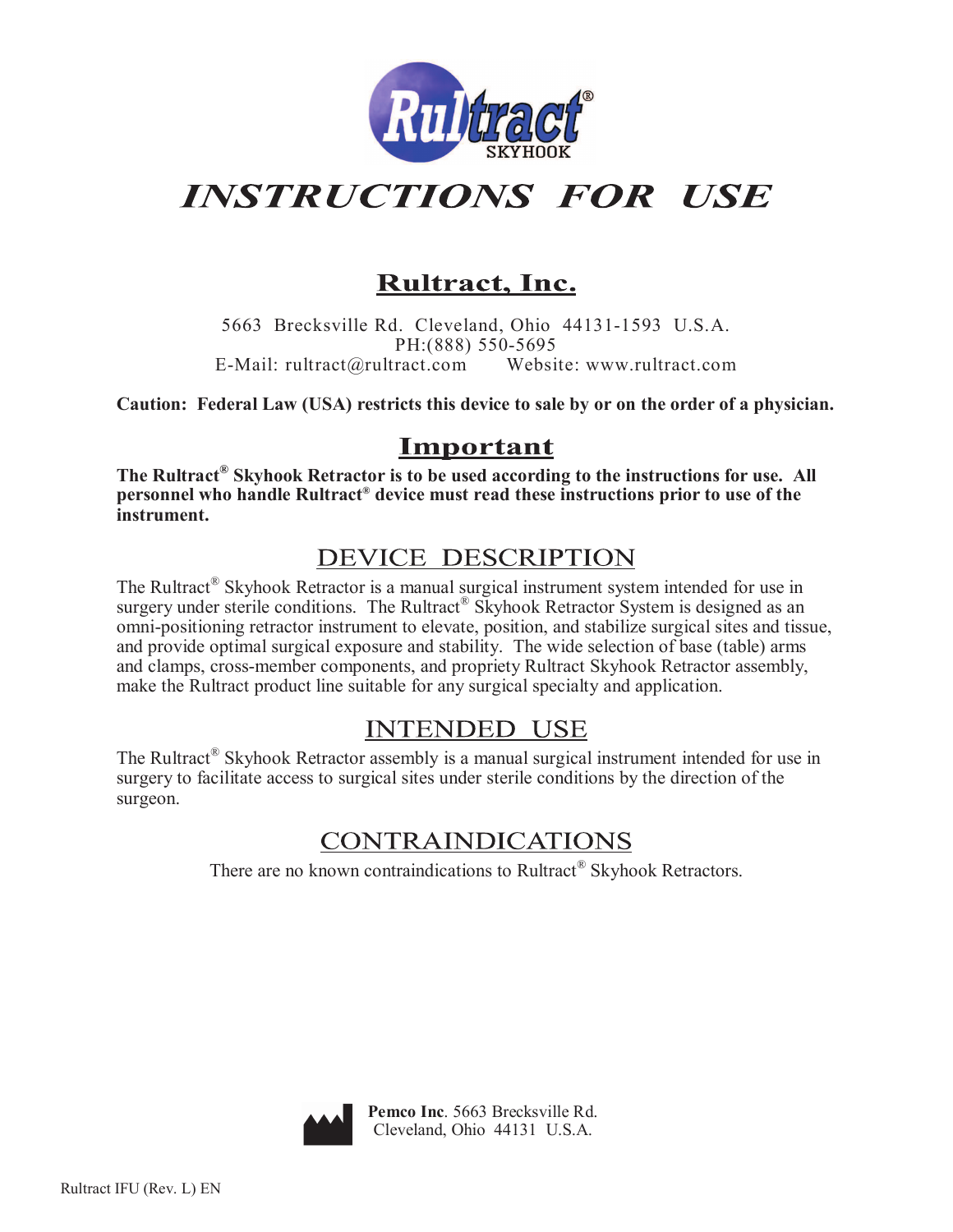

# **INSTRUCTIONS FOR USE**

## Rultract, Inc.

5663 Brecksville Rd. Cleveland, Ohio 44131-1593 U.S.A. PH: (888) 550-5695 E-Mail: rultract@rultract.com Website: www.rultract.com

Caution: Federal Law (USA) restricts this device to sale by or on the order of a physician.

## Important

The Rultract<sup>®</sup> Skyhook Retractor is to be used according to the instructions for use. All personnel who handle Rultract<sup>®</sup> device must read these instructions prior to use of the instrument.

## **DEVICE DESCRIPTION**

The Rultract® Skyhook Retractor is a manual surgical instrument system intended for use in surgery under sterile conditions. The Rultract® Skyhook Retractor System is designed as an omni-positioning retractor instrument to elevate, position, and stabilize surgical sites and tissue, and provide optimal surgical exposure and stability. The wide selection of base (table) arms and clamps, cross-member components, and propriety Rultract Skyhook Retractor assembly, make the Rultract product line suitable for any surgical specialty and application.

## **INTENDED USE**

The Rultract® Skyhook Retractor assembly is a manual surgical instrument intended for use in surgery to facilitate access to surgical sites under sterile conditions by the direction of the surgeon.

## **CONTRAINDICATIONS**

There are no known contraindications to Rultract<sup>®</sup> Skyhook Retractors.

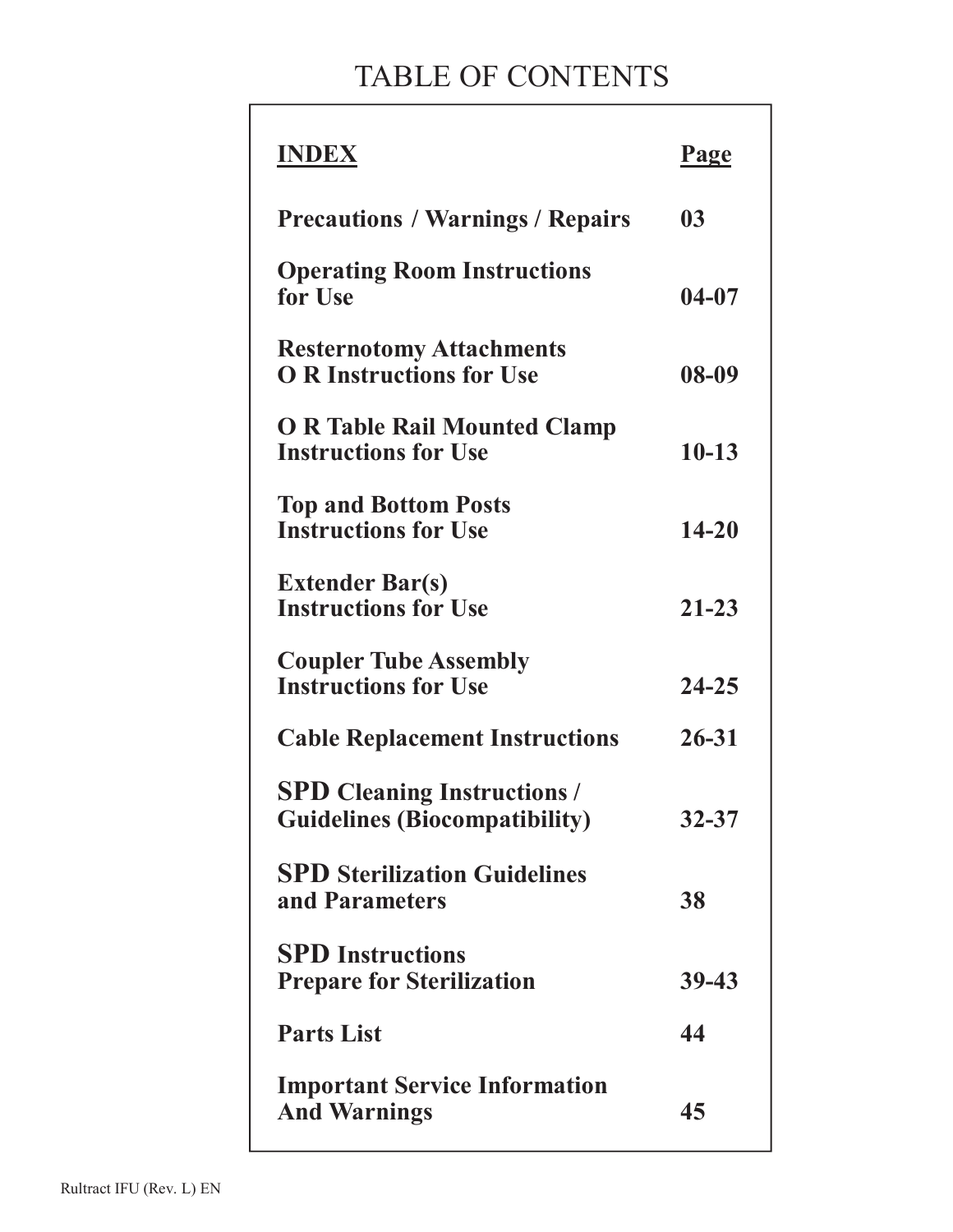# TABLE OF CONTENTS

| <b>INDEX</b>                                                               | Page      |
|----------------------------------------------------------------------------|-----------|
| <b>Precautions / Warnings / Repairs</b>                                    | 03        |
| <b>Operating Room Instructions</b><br>for Use                              | $04 - 07$ |
| <b>Resternotomy Attachments</b><br><b>O R Instructions for Use</b>         | 08-09     |
| <b>O R Table Rail Mounted Clamp</b><br><b>Instructions for Use</b>         | $10 - 13$ |
| <b>Top and Bottom Posts</b><br><b>Instructions for Use</b>                 | 14-20     |
| <b>Extender Bar(s)</b><br><b>Instructions for Use</b>                      | $21 - 23$ |
| <b>Coupler Tube Assembly</b><br><b>Instructions for Use</b>                | 24-25     |
| <b>Cable Replacement Instructions</b>                                      | $26 - 31$ |
| <b>SPD Cleaning Instructions /</b><br><b>Guidelines (Biocompatibility)</b> | 32-37     |
| <b>SPD Sterilization Guidelines</b><br>and Parameters                      | 38        |
| <b>SPD</b> Instructions<br><b>Prepare for Sterilization</b>                | 39-43     |
| <b>Parts List</b>                                                          | 44        |
| <b>Important Service Information</b><br><b>And Warnings</b>                | 45        |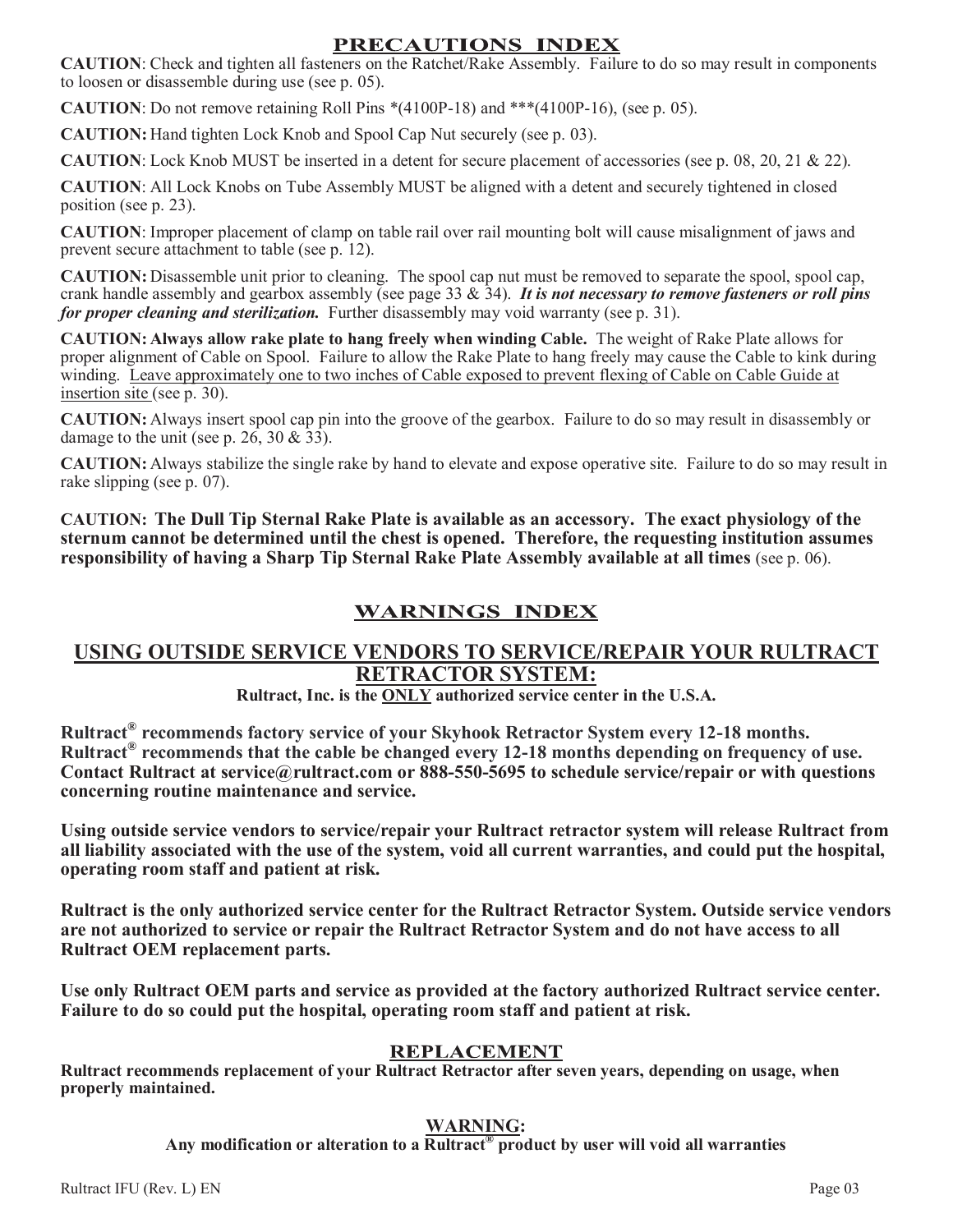#### PRECAUTIONS INDEX

**CAUTION:** Check and tighten all fasteners on the Ratchet/Rake Assembly. Failure to do so may result in components to loosen or disassemble during use (see p. 05).

**CAUTION**: Do not remove retaining Roll Pins  $*(4100P-18)$  and  $**(4100P-16)$ , (see p. 05).

**CAUTION:** Hand tighten Lock Knob and Spool Cap Nut securely (see p. 03).

**CAUTION**: Lock Knob MUST be inserted in a detent for secure placement of accessories (see p. 08, 20, 21 & 22).

CAUTION: All Lock Knobs on Tube Assembly MUST be aligned with a detent and securely tightened in closed position (see p. 23).

**CAUTION:** Improper placement of clamp on table rail over rail mounting bolt will cause misalignment of jaws and prevent secure attachment to table (see p. 12).

**CAUTION:** Disassemble unit prior to cleaning. The spool cap nut must be removed to separate the spool, spool cap, crank handle assembly and gearbox assembly (see page 33 & 34). It is not necessary to remove fasteners or roll pins for proper cleaning and sterilization. Further disassembly may void warranty (see p. 31).

CAUTION: Always allow rake plate to hang freely when winding Cable. The weight of Rake Plate allows for proper alignment of Cable on Spool. Failure to allow the Rake Plate to hang freely may cause the Cable to kink during winding. Leave approximately one to two inches of Cable exposed to prevent flexing of Cable on Cable Guide at insertion site (see p. 30).

CAUTION: Always insert spool cap pin into the groove of the gearbox. Failure to do so may result in disassembly or damage to the unit (see p. 26, 30 &  $33$ ).

CAUTION: Always stabilize the single rake by hand to elevate and expose operative site. Failure to do so may result in rake slipping (see p. 07).

CAUTION: The Dull Tip Sternal Rake Plate is available as an accessory. The exact physiology of the sternum cannot be determined until the chest is opened. Therefore, the requesting institution assumes responsibility of having a Sharp Tip Sternal Rake Plate Assembly available at all times (see p. 06).

#### **WARNINGS INDEX**

#### USING OUTSIDE SERVICE VENDORS TO SERVICE/REPAIR YOUR RULTRACT **RETRACTOR SYSTEM:**

Rultract, Inc. is the ONLY authorized service center in the U.S.A.

Rultract<sup>®</sup> recommends factory service of your Skyhook Retractor System every 12-18 months. Rultract<sup>®</sup> recommends that the cable be changed every 12-18 months depending on frequency of use. Contact Rultract at service@rultract.com or 888-550-5695 to schedule service/repair or with questions concerning routine maintenance and service.

Using outside service vendors to service/repair your Rultract retractor system will release Rultract from all liability associated with the use of the system, void all current warranties, and could put the hospital, operating room staff and patient at risk.

Rultract is the only authorized service center for the Rultract Retractor System. Outside service vendors are not authorized to service or repair the Rultract Retractor System and do not have access to all **Rultract OEM replacement parts.** 

Use only Rultract OEM parts and service as provided at the factory authorized Rultract service center. Failure to do so could put the hospital, operating room staff and patient at risk.

#### **REPLACEMENT**

Rultract recommends replacement of your Rultract Retractor after seven years, depending on usage, when properly maintained.

#### **WARNING:**

Any modification or alteration to a Rultract<sup>®</sup> product by user will void all warranties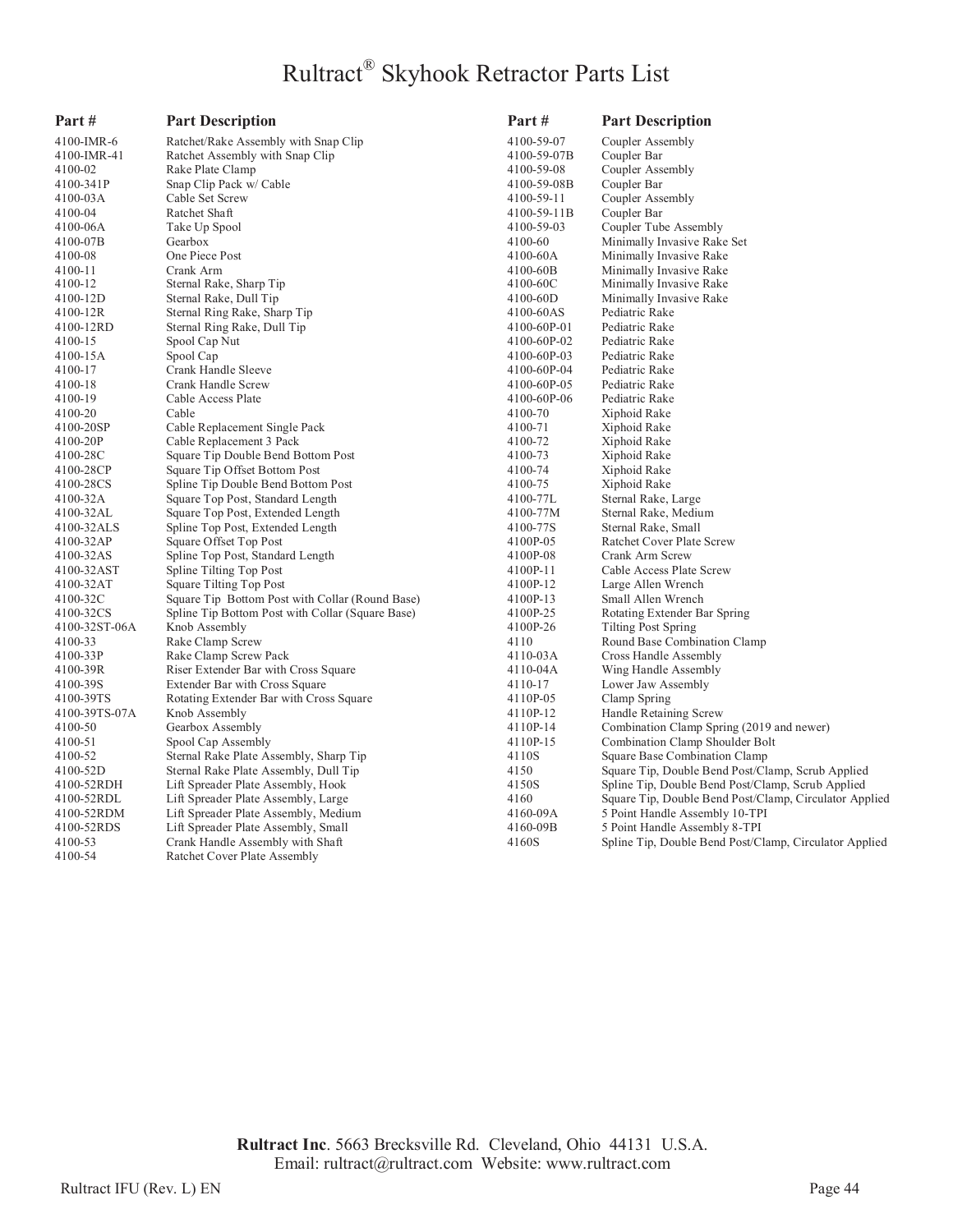## Rultract® Skyhook Retractor Parts List

| Part#         | <b>Part Description</b>                                                 | Part#       | <b>Part Description</b>                                                                 |
|---------------|-------------------------------------------------------------------------|-------------|-----------------------------------------------------------------------------------------|
| 4100-IMR-6    | Ratchet/Rake Assembly with Snap Clip                                    | 4100-59-07  | Coupler Assembly                                                                        |
| 4100-IMR-41   | Ratchet Assembly with Snap Clip                                         | 4100-59-07B | Coupler Bar                                                                             |
| 4100-02       | Rake Plate Clamp                                                        | 4100-59-08  | Coupler Assembly                                                                        |
| 4100-341P     | Snap Clip Pack w/ Cable                                                 | 4100-59-08B | Coupler Bar                                                                             |
| 4100-03A      | Cable Set Screw                                                         | 4100-59-11  | Coupler Assembly                                                                        |
| 4100-04       | Ratchet Shaft                                                           | 4100-59-11B | Coupler Bar                                                                             |
| 4100-06A      | Take Up Spool                                                           | 4100-59-03  | Coupler Tube Assembly                                                                   |
| 4100-07B      | Gearbox                                                                 | 4100-60     | Minimally Invasive Rake Set                                                             |
| 4100-08       | One Piece Post                                                          | 4100-60A    | Minimally Invasive Rake                                                                 |
| 4100-11       | Crank Arm                                                               | 4100-60B    | Minimally Invasive Rake                                                                 |
| 4100-12       | Sternal Rake, Sharp Tip                                                 | 4100-60C    | Minimally Invasive Rake                                                                 |
| 4100-12D      | Sternal Rake, Dull Tip                                                  | 4100-60D    | Minimally Invasive Rake                                                                 |
| 4100-12R      | Sternal Ring Rake, Sharp Tip                                            | 4100-60AS   | Pediatric Rake                                                                          |
| 4100-12RD     | Sternal Ring Rake, Dull Tip                                             | 4100-60P-01 | Pediatric Rake                                                                          |
| 4100-15       | Spool Cap Nut                                                           | 4100-60P-02 | Pediatric Rake                                                                          |
| 4100-15A      | Spool Cap                                                               | 4100-60P-03 | Pediatric Rake                                                                          |
| 4100-17       | Crank Handle Sleeve                                                     | 4100-60P-04 | Pediatric Rake                                                                          |
| 4100-18       | Crank Handle Screw                                                      | 4100-60P-05 | Pediatric Rake                                                                          |
| 4100-19       | Cable Access Plate                                                      | 4100-60P-06 | Pediatric Rake                                                                          |
| 4100-20       | Cable                                                                   | 4100-70     | Xiphoid Rake                                                                            |
| 4100-20SP     | Cable Replacement Single Pack                                           | 4100-71     | Xiphoid Rake                                                                            |
| 4100-20P      | Cable Replacement 3 Pack                                                | 4100-72     | Xiphoid Rake                                                                            |
| 4100-28C      | Square Tip Double Bend Bottom Post                                      | 4100-73     | Xiphoid Rake                                                                            |
| 4100-28CP     | Square Tip Offset Bottom Post                                           | 4100-74     | Xiphoid Rake                                                                            |
| 4100-28CS     | Spline Tip Double Bend Bottom Post                                      | 4100-75     | Xiphoid Rake                                                                            |
| 4100-32A      | Square Top Post, Standard Length                                        | 4100-77L    | Sternal Rake, Large                                                                     |
| 4100-32AL     | Square Top Post, Extended Length                                        | 4100-77M    | Sternal Rake, Medium                                                                    |
| 4100-32ALS    | Spline Top Post, Extended Length                                        | 4100-77S    | Sternal Rake, Small                                                                     |
| 4100-32AP     | Square Offset Top Post                                                  | 4100P-05    | Ratchet Cover Plate Screw                                                               |
| 4100-32AS     | Spline Top Post, Standard Length                                        | 4100P-08    | Crank Arm Screw                                                                         |
| 4100-32AST    | Spline Tilting Top Post                                                 | 4100P-11    | Cable Access Plate Screw                                                                |
| 4100-32AT     | Square Tilting Top Post                                                 | 4100P-12    | Large Allen Wrench                                                                      |
| 4100-32C      | Square Tip Bottom Post with Collar (Round Base)                         | 4100P-13    | Small Allen Wrench                                                                      |
| 4100-32CS     | Spline Tip Bottom Post with Collar (Square Base)                        | 4100P-25    | Rotating Extender Bar Spring                                                            |
| 4100-32ST-06A | Knob Assembly                                                           | 4100P-26    | Tilting Post Spring                                                                     |
| 4100-33       | Rake Clamp Screw                                                        | 4110        | Round Base Combination Clamp                                                            |
| 4100-33P      | Rake Clamp Screw Pack                                                   | 4110-03A    | Cross Handle Assembly                                                                   |
| 4100-39R      | Riser Extender Bar with Cross Square                                    | 4110-04A    | Wing Handle Assembly                                                                    |
| 4100-39S      | Extender Bar with Cross Square                                          | 4110-17     | Lower Jaw Assembly                                                                      |
| 4100-39TS     | Rotating Extender Bar with Cross Square                                 | 4110P-05    | Clamp Spring                                                                            |
| 4100-39TS-07A | Knob Assembly                                                           | 4110P-12    | Handle Retaining Screw                                                                  |
| 4100-50       | Gearbox Assembly                                                        | 4110P-14    | Combination Clamp Spring (2019 and newer)                                               |
| 4100-51       | Spool Cap Assembly                                                      | 4110P-15    | Combination Clamp Shoulder Bolt                                                         |
| 4100-52       | Sternal Rake Plate Assembly, Sharp Tip                                  | 4110S       | Square Base Combination Clamp                                                           |
| 4100-52D      | Sternal Rake Plate Assembly, Dull Tip                                   | 4150        | Square Tip, Double Bend Post/Clamp, Scrub Applied                                       |
| 4100-52RDH    | Lift Spreader Plate Assembly, Hook                                      | 4150S       | Spline Tip, Double Bend Post/Clamp, Scrub Applied                                       |
| 4100-52RDL    | Lift Spreader Plate Assembly, Large                                     | 4160        | Square Tip, Double Bend Post/Clamp, Circulator Applied                                  |
| 4100-52RDM    | Lift Spreader Plate Assembly, Medium                                    | 4160-09A    | 5 Point Handle Assembly 10-TPI                                                          |
| 4100-52RDS    |                                                                         | 4160-09B    |                                                                                         |
| 4100-53       | Lift Spreader Plate Assembly, Small<br>Crank Handle Assembly with Shaft | 4160S       | 5 Point Handle Assembly 8-TPI<br>Spline Tip, Double Bend Post/Clamp, Circulator Applied |
| 4100-54       | Ratchet Cover Plate Assembly                                            |             |                                                                                         |
|               |                                                                         |             |                                                                                         |

Rultract Inc. 5663 Brecksville Rd. Cleveland, Ohio 44131 U.S.A. Email: rultract@rultract.com Website: www.rultract.com